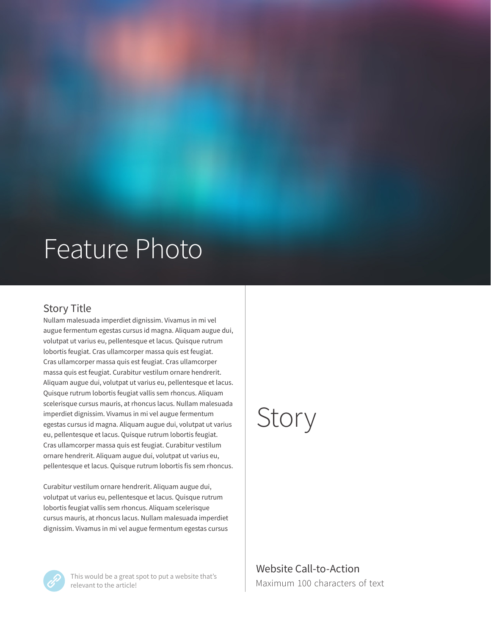### Feature Photo

#### Story Title

Nullam malesuada imperdiet dignissim. Vivamus in mi vel augue fermentum egestas cursus id magna. Aliquam augue dui, volutpat ut varius eu, pellentesque et lacus. Quisque rutrum lobortis feugiat. Cras ullamcorper massa quis est feugiat. Cras ullamcorper massa quis est feugiat. Cras ullamcorper massa quis est feugiat. Curabitur vestilum ornare hendrerit. Aliquam augue dui, volutpat ut varius eu, pellentesque et lacus. Quisque rutrum lobortis feugiat vallis sem rhoncus. Aliquam scelerisque cursus mauris, at rhoncus lacus. Nullam malesuada imperdiet dignissim. Vivamus in mi vel augue fermentum egestas cursus id magna. Aliquam augue dui, volutpat ut varius eu, pellentesque et lacus. Quisque rutrum lobortis feugiat. Cras ullamcorper massa quis est feugiat. Curabitur vestilum ornare hendrerit. Aliquam augue dui, volutpat ut varius eu, pellentesque et lacus. Quisque rutrum lobortis fis sem rhoncus.

Curabitur vestilum ornare hendrerit. Aliquam augue dui, volutpat ut varius eu, pellentesque et lacus. Quisque rutrum lobortis feugiat vallis sem rhoncus. Aliquam scelerisque cursus mauris, at rhoncus lacus. Nullam malesuada imperdiet dignissim. Vivamus in mi vel augue fermentum egestas cursus



This would be a great spot to put a website that's relevant to the article! Maximum 100 characters of text

### Story

Website Call-to-Action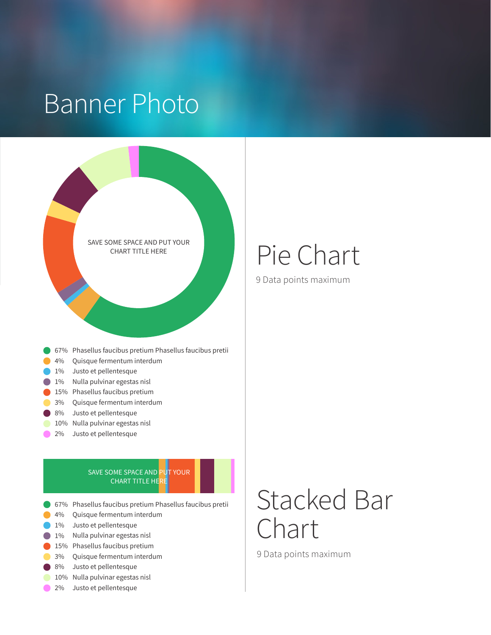### Banner Photo

|       | SAVE SOME SPACE AND PUT YOUR<br><b>CHART TITLE HERE</b> |
|-------|---------------------------------------------------------|
| 67%   | Phasellus faucibus pretium Phasellus faucibus pretii    |
| 4%    | Quisque fermentum interdum                              |
| $1\%$ | Justo et pellentesque                                   |
| $1\%$ | Nulla pulvinar egestas nisl                             |
| 15%   | Phasellus faucibus pretium                              |
| 3%    | Quisque fermentum interdum                              |
| 8%    | Justo et pellentesque                                   |
| 10%   | Nulla pulvinar egestas nisl                             |
| 2%    | Justo et pellentesque                                   |

#### SAVE SOME SPACE AND PUT YOUR CHART TITLE HERE

- 67% Phasellus faucibus pretium Phasellus faucibus pretii
- 4% Quisque fermentum interdum
- 1% Justo et pellentesque
- 1% Nulla pulvinar egestas nisl
- 15% Phasellus faucibus pretium
- 3% Quisque fermentum interdum
- 8% Justo et pellentesque
- 10% Nulla pulvinar egestas nisl
- <sup>2%</sup> Justo et pellentesque

## Stacked Bar Chart

9 Data points maximum

Pie Chart

9 Data points maximum